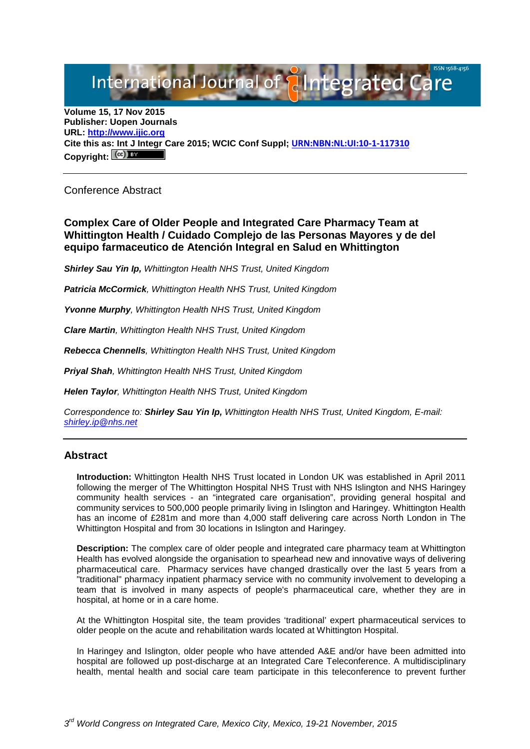# International Journal of **Alntegrated Care**

**Volume 15, 17 Nov 2015 Publisher: Uopen Journals URL: [http://www.ijic.org](http://www.ijic.org/) Cite this as: Int J Integr Care 2015; WCIC Conf Suppl; [URN:NBN:NL:UI:10-1-117310](http://persistent-identifier.nl/?identifier=URN:NBN:NL:UI:10-1-117310)** Copyright:  $(cc)$ 

Conference Abstract

**Complex Care of Older People and Integrated Care Pharmacy Team at Whittington Health / Cuidado Complejo de las Personas Mayores y de del equipo farmaceutico de Atención Integral en Salud en Whittington** 

*Shirley Sau Yin Ip, Whittington Health NHS Trust, United Kingdom*

*Patricia McCormick, Whittington Health NHS Trust, United Kingdom*

*Yvonne Murphy, Whittington Health NHS Trust, United Kingdom*

*Clare Martin, Whittington Health NHS Trust, United Kingdom*

*Rebecca Chennells, Whittington Health NHS Trust, United Kingdom*

*Priyal Shah, Whittington Health NHS Trust, United Kingdom*

*Helen Taylor, Whittington Health NHS Trust, United Kingdom*

*Correspondence to: Shirley Sau Yin Ip, Whittington Health NHS Trust, United Kingdom, E-mail: [shirley.ip@nhs.net](mailto:shirley.ip@nhs.net)*

### **Abstract**

**Introduction:** Whittington Health NHS Trust located in London UK was established in April 2011 following the merger of The Whittington Hospital NHS Trust with NHS Islington and NHS Haringey community health services - an "integrated care organisation", providing general hospital and community services to 500,000 people primarily living in Islington and Haringey. Whittington Health has an income of £281m and more than 4,000 staff delivering care across North London in The Whittington Hospital and from 30 locations in Islington and Haringey.

**Description:** The complex care of older people and integrated care pharmacy team at Whittington Health has evolved alongside the organisation to spearhead new and innovative ways of delivering pharmaceutical care. Pharmacy services have changed drastically over the last 5 years from a "traditional" pharmacy inpatient pharmacy service with no community involvement to developing a team that is involved in many aspects of people's pharmaceutical care, whether they are in hospital, at home or in a care home.

At the Whittington Hospital site, the team provides 'traditional' expert pharmaceutical services to older people on the acute and rehabilitation wards located at Whittington Hospital.

In Haringey and Islington, older people who have attended A&E and/or have been admitted into hospital are followed up post-discharge at an Integrated Care Teleconference. A multidisciplinary health, mental health and social care team participate in this teleconference to prevent further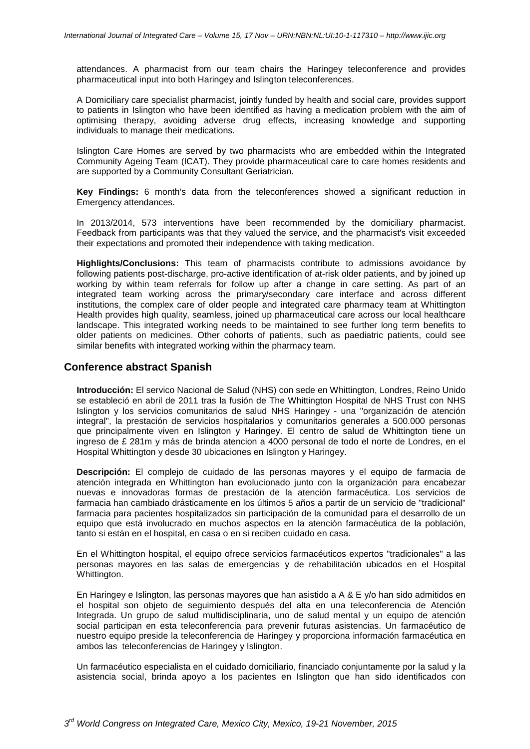attendances. A pharmacist from our team chairs the Haringey teleconference and provides pharmaceutical input into both Haringey and Islington teleconferences.

A Domiciliary care specialist pharmacist, jointly funded by health and social care, provides support to patients in Islington who have been identified as having a medication problem with the aim of optimising therapy, avoiding adverse drug effects, increasing knowledge and supporting individuals to manage their medications.

Islington Care Homes are served by two pharmacists who are embedded within the Integrated Community Ageing Team (ICAT). They provide pharmaceutical care to care homes residents and are supported by a Community Consultant Geriatrician.

**Key Findings:** 6 month's data from the teleconferences showed a significant reduction in Emergency attendances.

In 2013/2014, 573 interventions have been recommended by the domiciliary pharmacist. Feedback from participants was that they valued the service, and the pharmacist's visit exceeded their expectations and promoted their independence with taking medication.

**Highlights/Conclusions:** This team of pharmacists contribute to admissions avoidance by following patients post-discharge, pro-active identification of at-risk older patients, and by joined up working by within team referrals for follow up after a change in care setting. As part of an integrated team working across the primary/secondary care interface and across different institutions, the complex care of older people and integrated care pharmacy team at Whittington Health provides high quality, seamless, joined up pharmaceutical care across our local healthcare landscape. This integrated working needs to be maintained to see further long term benefits to older patients on medicines. Other cohorts of patients, such as paediatric patients, could see similar benefits with integrated working within the pharmacy team.

# **Conference abstract Spanish**

**Introducción:** El servico Nacional de Salud (NHS) con sede en Whittington, Londres, Reino Unido se estableció en abril de 2011 tras la fusión de The Whittington Hospital de NHS Trust con NHS Islington y los servicios comunitarios de salud NHS Haringey - una "organización de atención integral", la prestación de servicios hospitalarios y comunitarios generales a 500.000 personas que principalmente viven en Islington y Haringey. El centro de salud de Whittington tiene un ingreso de £ 281m y más de brinda atencion a 4000 personal de todo el norte de Londres, en el Hospital Whittington y desde 30 ubicaciones en Islington y Haringey.

**Descripción:** El complejo de cuidado de las personas mayores y el equipo de farmacia de atención integrada en Whittington han evolucionado junto con la organización para encabezar nuevas e innovadoras formas de prestación de la atención farmacéutica. Los servicios de farmacia han cambiado drásticamente en los últimos 5 años a partir de un servicio de "tradicional" farmacia para pacientes hospitalizados sin participación de la comunidad para el desarrollo de un equipo que está involucrado en muchos aspectos en la atención farmacéutica de la población, tanto si están en el hospital, en casa o en si reciben cuidado en casa.

En el Whittington hospital, el equipo ofrece servicios farmacéuticos expertos "tradicionales" a las personas mayores en las salas de emergencias y de rehabilitación ubicados en el Hospital Whittington.

En Haringey e Islington, las personas mayores que han asistido a A & E y/o han sido admitidos en el hospital son objeto de seguimiento después del alta en una teleconferencia de Atención Integrada. Un grupo de salud multidisciplinaria, uno de salud mental y un equipo de atención social participan en esta teleconferencia para prevenir futuras asistencias. Un farmacéutico de nuestro equipo preside la teleconferencia de Haringey y proporciona información farmacéutica en ambos las teleconferencias de Haringey y Islington.

Un farmacéutico especialista en el cuidado domiciliario, financiado conjuntamente por la salud y la asistencia social, brinda apoyo a los pacientes en Islington que han sido identificados con